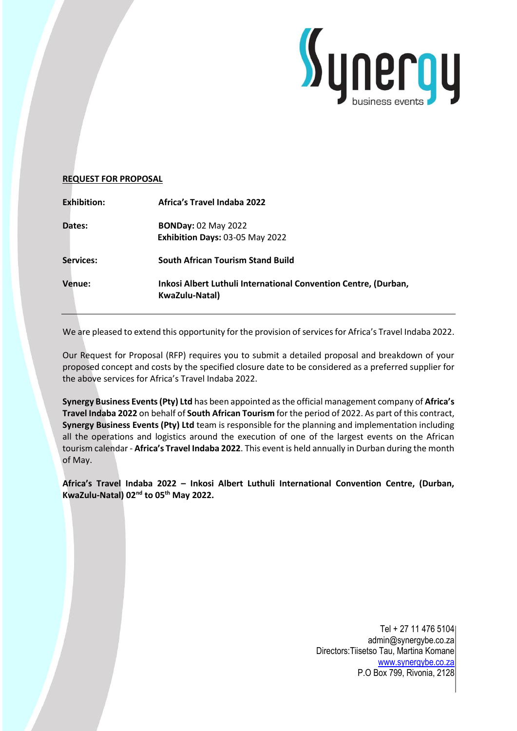

# **REQUEST FOR PROPOSAL**

| <b>Exhibition:</b> | <b>Africa's Travel Indaba 2022</b>                                                |
|--------------------|-----------------------------------------------------------------------------------|
| Dates:             | <b>BONDay: 02 May 2022</b><br>Exhibition Days: 03-05 May 2022                     |
| Services:          | <b>South African Tourism Stand Build</b>                                          |
| Venue:             | Inkosi Albert Luthuli International Convention Centre, (Durban,<br>KwaZulu-Natal) |

We are pleased to extend this opportunity for the provision of services for Africa's Travel Indaba 2022.

Our Request for Proposal (RFP) requires you to submit a detailed proposal and breakdown of your proposed concept and costs by the specified closure date to be considered as a preferred supplier for the above services for Africa's Travel Indaba 2022.

**Synergy Business Events (Pty) Ltd** has been appointed as the official management company of **Africa's Travel Indaba 2022** on behalf of **South African Tourism** for the period of 2022. As part of this contract, **Synergy Business Events (Pty) Ltd** team is responsible for the planning and implementation including all the operations and logistics around the execution of one of the largest events on the African tourism calendar - **Africa's Travel Indaba 2022**. This event is held annually in Durban during the month of May.

**Africa's Travel Indaba 2022 – Inkosi Albert Luthuli International Convention Centre, (Durban, KwaZulu-Natal) 02nd to 05th May 2022.**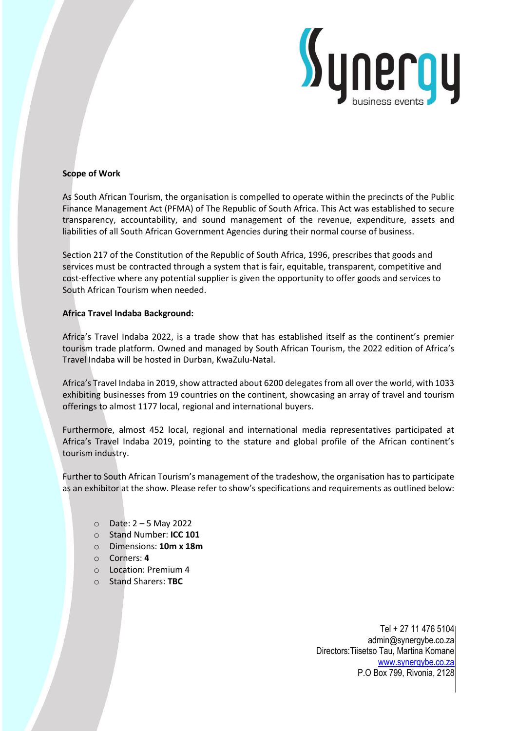

## **Scope of Work**

As South African Tourism, the organisation is compelled to operate within the precincts of the Public Finance Management Act (PFMA) of The Republic of South Africa. This Act was established to secure transparency, accountability, and sound management of the revenue, expenditure, assets and liabilities of all South African Government Agencies during their normal course of business.

Section 217 of the Constitution of the Republic of South Africa, 1996, prescribes that goods and services must be contracted through a system that is fair, equitable, transparent, competitive and cost-effective where any potential supplier is given the opportunity to offer goods and services to South African Tourism when needed.

# **Africa Travel Indaba Background:**

Africa's Travel Indaba 2022, is a trade show that has established itself as the continent's premier tourism trade platform. Owned and managed by South African Tourism, the 2022 edition of Africa's Travel Indaba will be hosted in Durban, KwaZulu-Natal.

Africa's Travel Indaba in 2019, show attracted about 6200 delegates from all over the world, with 1033 exhibiting businesses from 19 countries on the continent, showcasing an array of travel and tourism offerings to almost 1177 local, regional and international buyers.

Furthermore, almost 452 local, regional and international media representatives participated at Africa's Travel Indaba 2019, pointing to the stature and global profile of the African continent's tourism industry.

Further to South African Tourism's management of the tradeshow, the organisation has to participate as an exhibitor at the show. Please refer to show's specifications and requirements as outlined below:

- o Date: 2 5 May 2022
- o Stand Number: **ICC 101**
- o Dimensions: **10m x 18m**
- o Corners: **4**
- o Location: Premium 4
- o Stand Sharers: **TBC**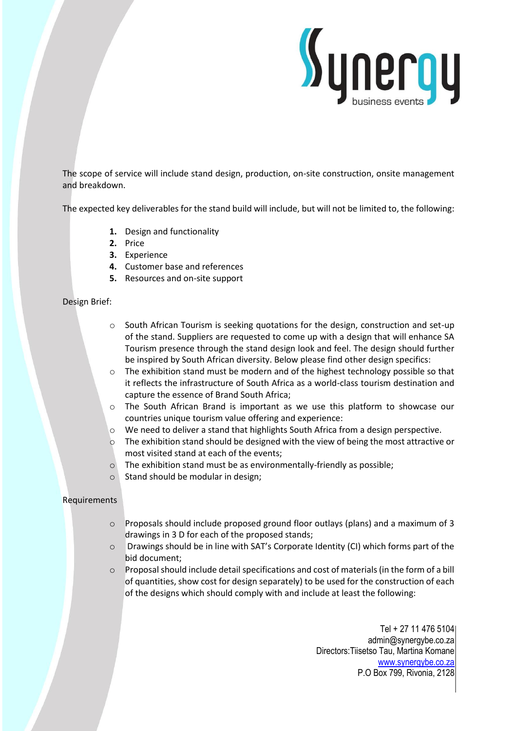

The scope of service will include stand design, production, on-site construction, onsite management and breakdown.

The expected key deliverables for the stand build will include, but will not be limited to, the following:

- **1.** Design and functionality
- **2.** Price
- **3.** Experience
- **4.** Customer base and references
- **5.** Resources and on-site support

## Design Brief:

- o South African Tourism is seeking quotations for the design, construction and set-up of the stand. Suppliers are requested to come up with a design that will enhance SA Tourism presence through the stand design look and feel. The design should further be inspired by South African diversity. Below please find other design specifics:
- o The exhibition stand must be modern and of the highest technology possible so that it reflects the infrastructure of South Africa as a world-class tourism destination and capture the essence of Brand South Africa;
- o The South African Brand is important as we use this platform to showcase our countries unique tourism value offering and experience:
- $\circ$  We need to deliver a stand that highlights South Africa from a design perspective.
- o The exhibition stand should be designed with the view of being the most attractive or most visited stand at each of the events;
- $\circ$  The exhibition stand must be as environmentally-friendly as possible;
- $\circ$  Stand should be modular in design;

## Requirements

- o Proposals should include proposed ground floor outlays (plans) and a maximum of 3 drawings in 3 D for each of the proposed stands;
- o Drawings should be in line with SAT's Corporate Identity (CI) which forms part of the bid document;
- $\circ$  Proposal should include detail specifications and cost of materials (in the form of a bill of quantities, show cost for design separately) to be used for the construction of each of the designs which should comply with and include at least the following: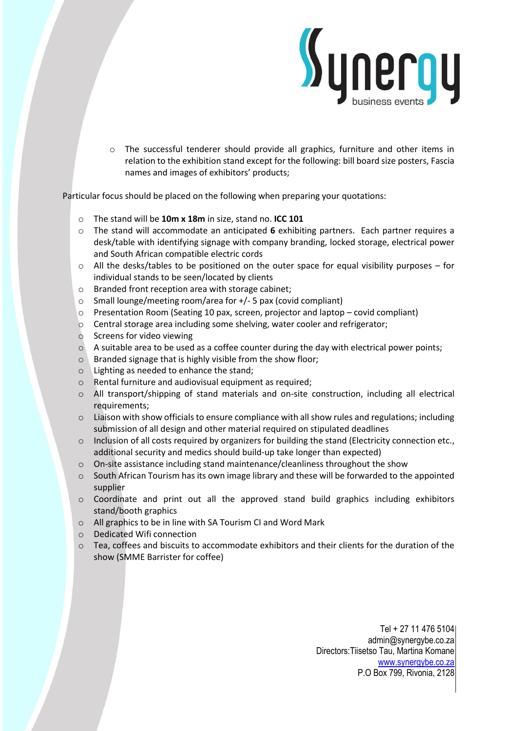

o The successful tenderer should provide all graphics, furniture and other items in relation to the exhibition stand except for the following: bill board size posters, Fascia names and images of exhibitors' products;

Particular focus should be placed on the following when preparing your quotations:

- o The stand will be **10m x 18m** in size, stand no. **ICC 101**
- o The stand will accommodate an anticipated **6** exhibiting partners. Each partner requires a desk/table with identifying signage with company branding, locked storage, electrical power and South African compatible electric cords
- o All the desks/tables to be positioned on the outer space for equal visibility purposes for individual stands to be seen/located by clients
- o Branded front reception area with storage cabinet;
- o Small lounge/meeting room/area for +/- 5 pax (covid compliant)
- $\circ$  Presentation Room (Seating 10 pax, screen, projector and laptop covid compliant)
- o Central storage area including some shelving, water cooler and refrigerator;
- o Screens for video viewing
- $\circ$  A suitable area to be used as a coffee counter during the day with electrical power points;
- $\circ$  Branded signage that is highly visible from the show floor;
- o Lighting as needed to enhance the stand;
- o Rental furniture and audiovisual equipment as required;
- o All transport/shipping of stand materials and on-site construction, including all electrical requirements;
- $\circ$  Liaison with show officials to ensure compliance with all show rules and regulations; including submission of all design and other material required on stipulated deadlines
- $\circ$  Inclusion of all costs required by organizers for building the stand (Electricity connection etc., additional security and medics should build-up take longer than expected)
- $\circ$  On-site assistance including stand maintenance/cleanliness throughout the show
- $\circ$  South African Tourism has its own image library and these will be forwarded to the appointed supplier
- o Coordinate and print out all the approved stand build graphics including exhibitors stand/booth graphics
- o All graphics to be in line with SA Tourism CI and Word Mark
- o Dedicated Wifi connection
- $\circ$  Tea, coffees and biscuits to accommodate exhibitors and their clients for the duration of the show (SMME Barrister for coffee)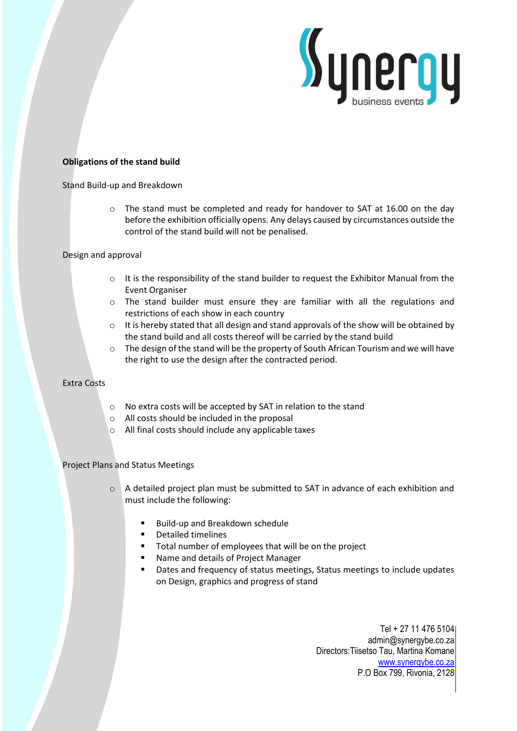

### **Obligations of the stand build**

#### Stand Build-up and Breakdown

o The stand must be completed and ready for handover to SAT at 16.00 on the day before the exhibition officially opens. Any delays caused by circumstances outside the control of the stand build will not be penalised.

## Design and approval

- $\circ$  It is the responsibility of the stand builder to request the Exhibitor Manual from the Event Organiser
- $\circ$  The stand builder must ensure they are familiar with all the regulations and restrictions of each show in each country
- $\circ$  It is hereby stated that all design and stand approvals of the show will be obtained by the stand build and all costs thereof will be carried by the stand build
- $\circ$  The design of the stand will be the property of South African Tourism and we will have the right to use the design after the contracted period.

# Extra Costs

- o No extra costs will be accepted by SAT in relation to the stand
- o All costs should be included in the proposal
- o All final costs should include any applicable taxes

## Project Plans and Status Meetings

- o A detailed project plan must be submitted to SAT in advance of each exhibition and must include the following:
	- Build-up and Breakdown schedule
	- Detailed timelines
	- Total number of employees that will be on the project
	- Name and details of Project Manager
	- Dates and frequency of status meetings, Status meetings to include updates on Design, graphics and progress of stand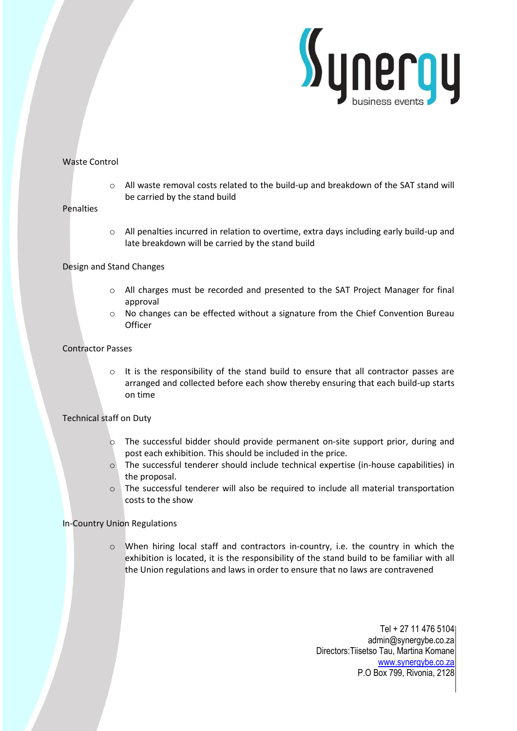

# Waste Control

o All waste removal costs related to the build-up and breakdown of the SAT stand will be carried by the stand build

#### Penalties

o All penalties incurred in relation to overtime, extra days including early build-up and late breakdown will be carried by the stand build

#### Design and Stand Changes

- $\circ$  All charges must be recorded and presented to the SAT Project Manager for final approval
- o No changes can be effected without a signature from the Chief Convention Bureau **Officer**

#### Contractor Passes

o It is the responsibility of the stand build to ensure that all contractor passes are arranged and collected before each show thereby ensuring that each build-up starts on time

## Technical staff on Duty

- o The successful bidder should provide permanent on-site support prior, during and post each exhibition. This should be included in the price.
- o The successful tenderer should include technical expertise (in-house capabilities) in the proposal.
- o The successful tenderer will also be required to include all material transportation costs to the show

## In-Country Union Regulations

 $\circ$  When hiring local staff and contractors in-country, i.e. the country in which the exhibition is located, it is the responsibility of the stand build to be familiar with all the Union regulations and laws in order to ensure that no laws are contravened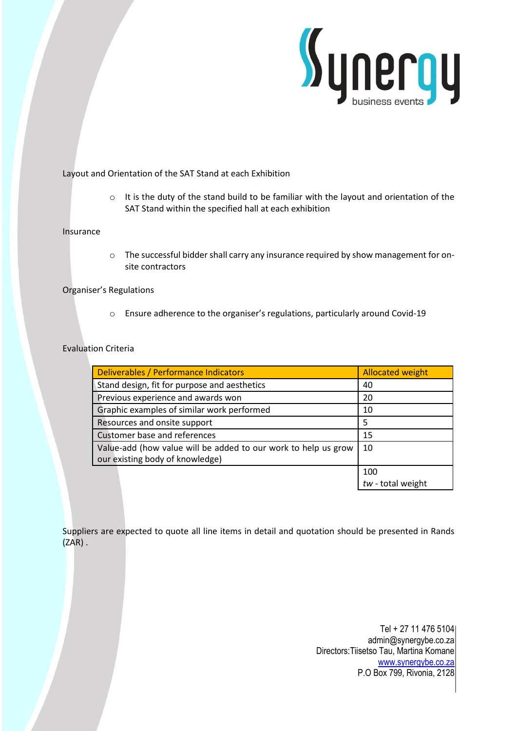

## Layout and Orientation of the SAT Stand at each Exhibition

o It is the duty of the stand build to be familiar with the layout and orientation of the SAT Stand within the specified hall at each exhibition

#### Insurance

o The successful bidder shall carry any insurance required by show management for onsite contractors

# Organiser's Regulations

o Ensure adherence to the organiser's regulations, particularly around Covid-19

## Evaluation Criteria

| Deliverables / Performance Indicators                                                             | <b>Allocated weight</b> |
|---------------------------------------------------------------------------------------------------|-------------------------|
| Stand design, fit for purpose and aesthetics                                                      | 40                      |
| Previous experience and awards won                                                                | 20                      |
| Graphic examples of similar work performed                                                        | 10                      |
| Resources and onsite support                                                                      | 5                       |
| Customer base and references                                                                      | 15                      |
| Value-add (how value will be added to our work to help us grow<br>our existing body of knowledge) | 10                      |
|                                                                                                   | 100                     |
|                                                                                                   | $tw$ - total weight     |

Suppliers are expected to quote all line items in detail and quotation should be presented in Rands (ZAR) .